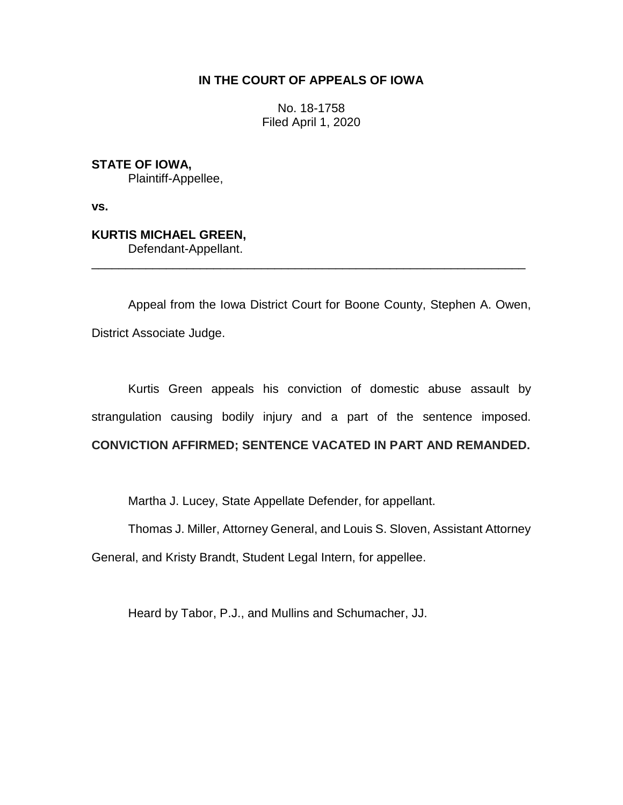# **IN THE COURT OF APPEALS OF IOWA**

No. 18-1758 Filed April 1, 2020

**STATE OF IOWA,** Plaintiff-Appellee,

**vs.**

**KURTIS MICHAEL GREEN,** Defendant-Appellant.

Appeal from the Iowa District Court for Boone County, Stephen A. Owen, District Associate Judge.

\_\_\_\_\_\_\_\_\_\_\_\_\_\_\_\_\_\_\_\_\_\_\_\_\_\_\_\_\_\_\_\_\_\_\_\_\_\_\_\_\_\_\_\_\_\_\_\_\_\_\_\_\_\_\_\_\_\_\_\_\_\_\_\_

Kurtis Green appeals his conviction of domestic abuse assault by strangulation causing bodily injury and a part of the sentence imposed. **CONVICTION AFFIRMED; SENTENCE VACATED IN PART AND REMANDED.**

Martha J. Lucey, State Appellate Defender, for appellant.

Thomas J. Miller, Attorney General, and Louis S. Sloven, Assistant Attorney

General, and Kristy Brandt, Student Legal Intern, for appellee.

Heard by Tabor, P.J., and Mullins and Schumacher, JJ.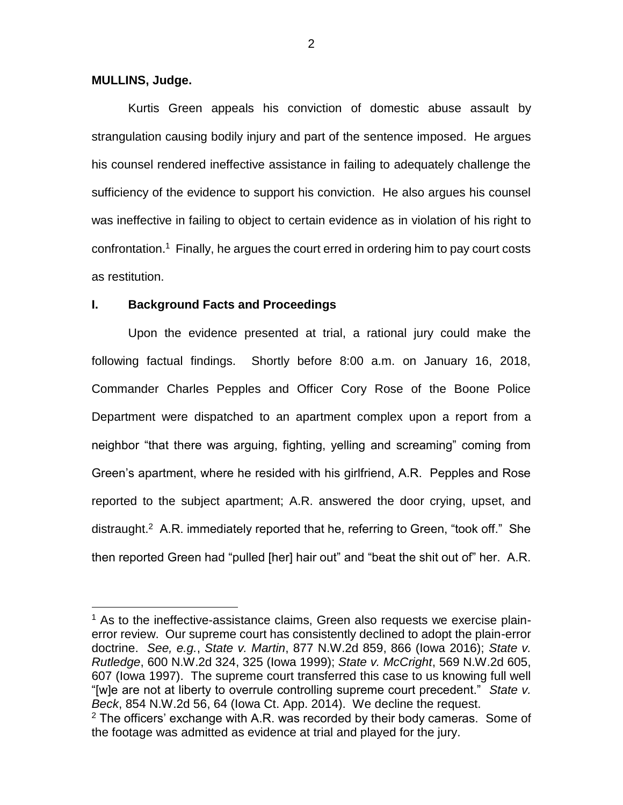### **MULLINS, Judge.**

 $\overline{a}$ 

Kurtis Green appeals his conviction of domestic abuse assault by strangulation causing bodily injury and part of the sentence imposed. He argues his counsel rendered ineffective assistance in failing to adequately challenge the sufficiency of the evidence to support his conviction. He also argues his counsel was ineffective in failing to object to certain evidence as in violation of his right to confrontation.<sup>1</sup> Finally, he argues the court erred in ordering him to pay court costs as restitution.

## **I. Background Facts and Proceedings**

Upon the evidence presented at trial, a rational jury could make the following factual findings. Shortly before 8:00 a.m. on January 16, 2018, Commander Charles Pepples and Officer Cory Rose of the Boone Police Department were dispatched to an apartment complex upon a report from a neighbor "that there was arguing, fighting, yelling and screaming" coming from Green's apartment, where he resided with his girlfriend, A.R. Pepples and Rose reported to the subject apartment; A.R. answered the door crying, upset, and distraught.<sup>2</sup> A.R. immediately reported that he, referring to Green, "took off." She then reported Green had "pulled [her] hair out" and "beat the shit out of" her. A.R.

2

 $<sup>1</sup>$  As to the ineffective-assistance claims, Green also requests we exercise plain-</sup> error review. Our supreme court has consistently declined to adopt the plain-error doctrine. *See, e.g.*, *State v. Martin*, 877 N.W.2d 859, 866 (Iowa 2016); *State v. Rutledge*, 600 N.W.2d 324, 325 (Iowa 1999); *State v. McCright*, 569 N.W.2d 605, 607 (Iowa 1997). The supreme court transferred this case to us knowing full well "[w]e are not at liberty to overrule controlling supreme court precedent." *State v. Beck*, 854 N.W.2d 56, 64 (Iowa Ct. App. 2014). We decline the request.  $2$  The officers' exchange with A.R. was recorded by their body cameras. Some of the footage was admitted as evidence at trial and played for the jury.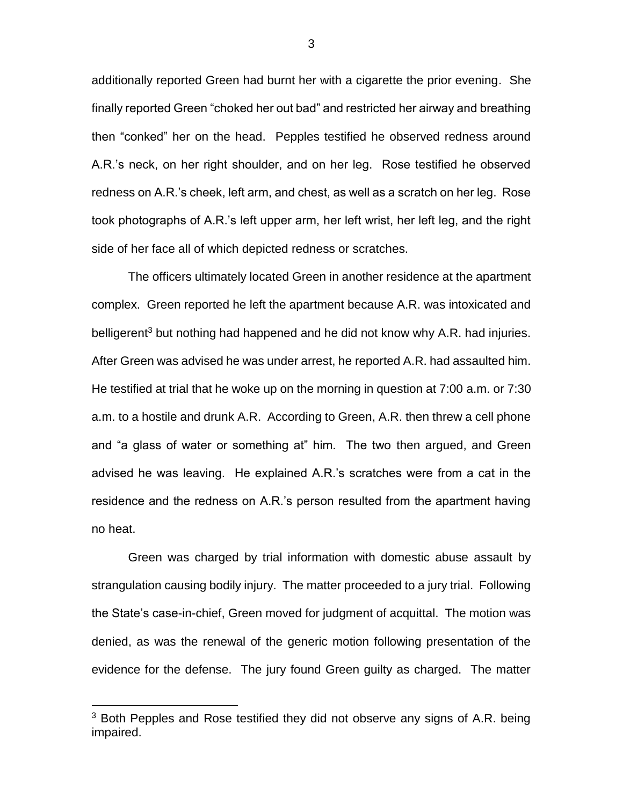additionally reported Green had burnt her with a cigarette the prior evening. She finally reported Green "choked her out bad" and restricted her airway and breathing then "conked" her on the head. Pepples testified he observed redness around A.R.'s neck, on her right shoulder, and on her leg. Rose testified he observed redness on A.R.'s cheek, left arm, and chest, as well as a scratch on her leg. Rose took photographs of A.R.'s left upper arm, her left wrist, her left leg, and the right side of her face all of which depicted redness or scratches.

The officers ultimately located Green in another residence at the apartment complex. Green reported he left the apartment because A.R. was intoxicated and belligerent<sup>3</sup> but nothing had happened and he did not know why A.R. had injuries. After Green was advised he was under arrest, he reported A.R. had assaulted him. He testified at trial that he woke up on the morning in question at 7:00 a.m. or 7:30 a.m. to a hostile and drunk A.R. According to Green, A.R. then threw a cell phone and "a glass of water or something at" him. The two then argued, and Green advised he was leaving. He explained A.R.'s scratches were from a cat in the residence and the redness on A.R.'s person resulted from the apartment having no heat.

Green was charged by trial information with domestic abuse assault by strangulation causing bodily injury. The matter proceeded to a jury trial. Following the State's case-in-chief, Green moved for judgment of acquittal. The motion was denied, as was the renewal of the generic motion following presentation of the evidence for the defense. The jury found Green guilty as charged. The matter

 $\overline{a}$ 

3

<sup>&</sup>lt;sup>3</sup> Both Pepples and Rose testified they did not observe any signs of A.R. being impaired.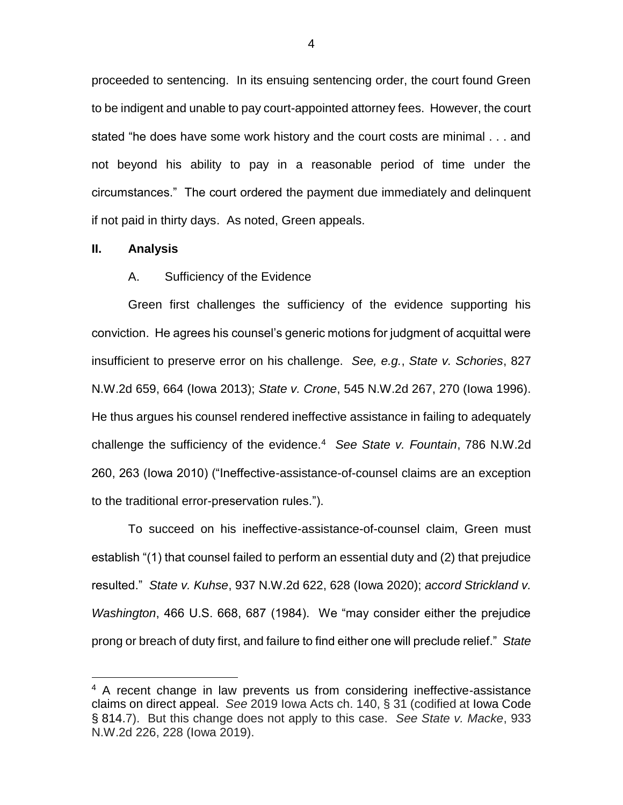proceeded to sentencing. In its ensuing sentencing order, the court found Green to be indigent and unable to pay court-appointed attorney fees. However, the court stated "he does have some work history and the court costs are minimal . . . and not beyond his ability to pay in a reasonable period of time under the circumstances." The court ordered the payment due immediately and delinquent if not paid in thirty days. As noted, Green appeals.

#### **II. Analysis**

 $\overline{a}$ 

## A. Sufficiency of the Evidence

Green first challenges the sufficiency of the evidence supporting his conviction. He agrees his counsel's generic motions for judgment of acquittal were insufficient to preserve error on his challenge. *See, e.g.*, *State v. Schories*, 827 N.W.2d 659, 664 (Iowa 2013); *State v. Crone*, 545 N.W.2d 267, 270 (Iowa 1996). He thus argues his counsel rendered ineffective assistance in failing to adequately challenge the sufficiency of the evidence.<sup>4</sup> *See State v. Fountain*, 786 N.W.2d 260, 263 (Iowa 2010) ("Ineffective-assistance-of-counsel claims are an exception to the traditional error-preservation rules.").

To succeed on his ineffective-assistance-of-counsel claim, Green must establish "(1) that counsel failed to perform an essential duty and (2) that prejudice resulted." *State v. Kuhse*, 937 N.W.2d 622, 628 (Iowa 2020); *accord Strickland v. Washington*, 466 U.S. 668, 687 (1984). We "may consider either the prejudice prong or breach of duty first, and failure to find either one will preclude relief." *State* 

<sup>&</sup>lt;sup>4</sup> A recent change in law prevents us from considering ineffective-assistance claims on direct appeal. *See* 2019 Iowa Acts ch. 140, § 31 (codified at Iowa Code § 814.7). But this change does not apply to this case. *See State v. Macke*, 933 N.W.2d 226, 228 (Iowa 2019).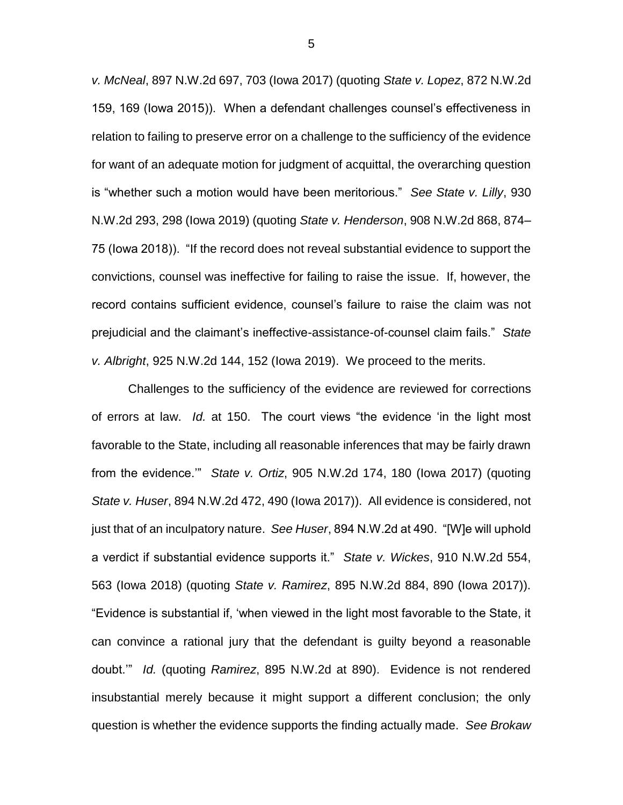*v. McNeal*, 897 N.W.2d 697, 703 (Iowa 2017) (quoting *State v. Lopez*, 872 N.W.2d 159, 169 (Iowa 2015)). When a defendant challenges counsel's effectiveness in relation to failing to preserve error on a challenge to the sufficiency of the evidence for want of an adequate motion for judgment of acquittal, the overarching question is "whether such a motion would have been meritorious." *See State v. Lilly*, 930 N.W.2d 293, 298 (Iowa 2019) (quoting *State v. Henderson*, 908 N.W.2d 868, 874– 75 (Iowa 2018)). "If the record does not reveal substantial evidence to support the convictions, counsel was ineffective for failing to raise the issue. If, however, the record contains sufficient evidence, counsel's failure to raise the claim was not prejudicial and the claimant's ineffective-assistance-of-counsel claim fails." *State v. Albright*, 925 N.W.2d 144, 152 (Iowa 2019). We proceed to the merits.

Challenges to the sufficiency of the evidence are reviewed for corrections of errors at law. *Id.* at 150.The court views "the evidence 'in the light most favorable to the State, including all reasonable inferences that may be fairly drawn from the evidence.'" *State v. Ortiz*, 905 N.W.2d 174, 180 (Iowa 2017) (quoting *State v. Huser*, 894 N.W.2d 472, 490 (Iowa 2017)). All evidence is considered, not just that of an inculpatory nature. *See Huser*, 894 N.W.2d at 490. "[W]e will uphold a verdict if substantial evidence supports it." *State v. Wickes*, 910 N.W.2d 554, 563 (Iowa 2018) (quoting *State v. Ramirez*, 895 N.W.2d 884, 890 (Iowa 2017)). "Evidence is substantial if, 'when viewed in the light most favorable to the State, it can convince a rational jury that the defendant is guilty beyond a reasonable doubt.'" *Id.* (quoting *Ramirez*, 895 N.W.2d at 890). Evidence is not rendered insubstantial merely because it might support a different conclusion; the only question is whether the evidence supports the finding actually made. *See Brokaw*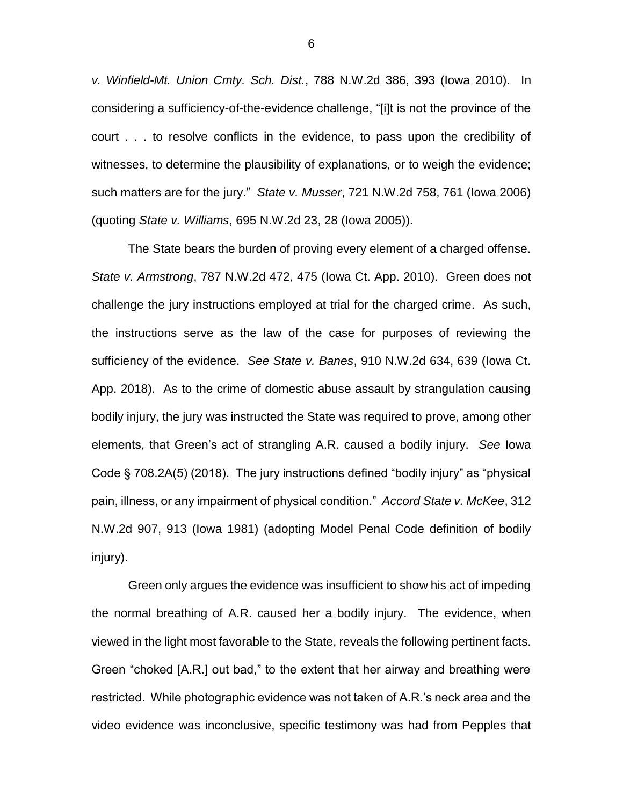*v. Winfield-Mt. Union Cmty. Sch. Dist.*, 788 N.W.2d 386, 393 (Iowa 2010). In considering a sufficiency-of-the-evidence challenge, "[i]t is not the province of the court . . . to resolve conflicts in the evidence, to pass upon the credibility of witnesses, to determine the plausibility of explanations, or to weigh the evidence; such matters are for the jury." *State v. Musser*, 721 N.W.2d 758, 761 (Iowa 2006) (quoting *State v. Williams*, 695 N.W.2d 23, 28 (Iowa 2005)).

The State bears the burden of proving every element of a charged offense. *State v. Armstrong*, 787 N.W.2d 472, 475 (Iowa Ct. App. 2010). Green does not challenge the jury instructions employed at trial for the charged crime. As such, the instructions serve as the law of the case for purposes of reviewing the sufficiency of the evidence. *See State v. Banes*, 910 N.W.2d 634, 639 (Iowa Ct. App. 2018). As to the crime of domestic abuse assault by strangulation causing bodily injury, the jury was instructed the State was required to prove, among other elements, that Green's act of strangling A.R. caused a bodily injury. *See* Iowa Code § 708.2A(5) (2018). The jury instructions defined "bodily injury" as "physical pain, illness, or any impairment of physical condition." *Accord State v. McKee*, 312 N.W.2d 907, 913 (Iowa 1981) (adopting Model Penal Code definition of bodily injury).

Green only argues the evidence was insufficient to show his act of impeding the normal breathing of A.R. caused her a bodily injury. The evidence, when viewed in the light most favorable to the State, reveals the following pertinent facts. Green "choked [A.R.] out bad," to the extent that her airway and breathing were restricted. While photographic evidence was not taken of A.R.'s neck area and the video evidence was inconclusive, specific testimony was had from Pepples that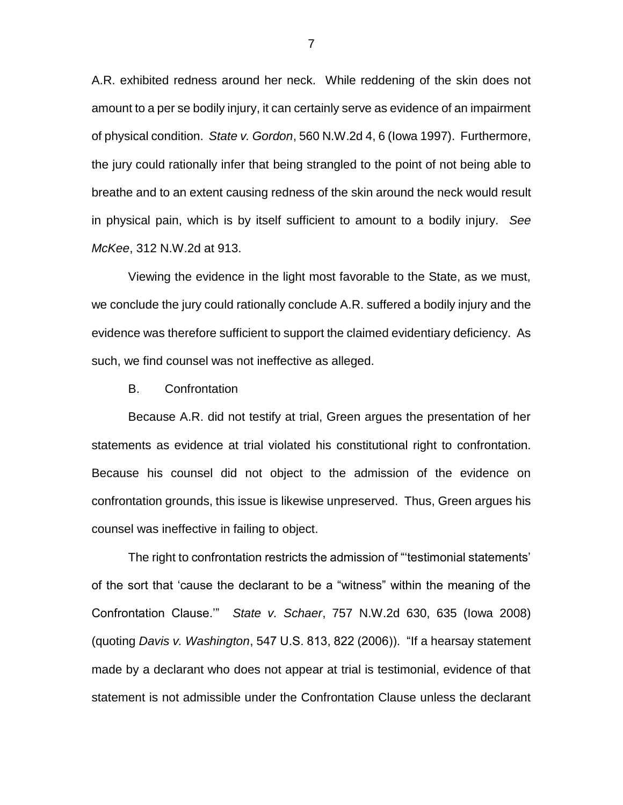A.R. exhibited redness around her neck. While reddening of the skin does not amount to a per se bodily injury, it can certainly serve as evidence of an impairment of physical condition. *State v. Gordon*, 560 N.W.2d 4, 6 (Iowa 1997). Furthermore, the jury could rationally infer that being strangled to the point of not being able to breathe and to an extent causing redness of the skin around the neck would result in physical pain, which is by itself sufficient to amount to a bodily injury. *See McKee*, 312 N.W.2d at 913.

Viewing the evidence in the light most favorable to the State, as we must, we conclude the jury could rationally conclude A.R. suffered a bodily injury and the evidence was therefore sufficient to support the claimed evidentiary deficiency. As such, we find counsel was not ineffective as alleged.

B. Confrontation

Because A.R. did not testify at trial, Green argues the presentation of her statements as evidence at trial violated his constitutional right to confrontation. Because his counsel did not object to the admission of the evidence on confrontation grounds, this issue is likewise unpreserved. Thus, Green argues his counsel was ineffective in failing to object.

The right to confrontation restricts the admission of "'testimonial statements' of the sort that 'cause the declarant to be a "witness" within the meaning of the Confrontation Clause.'" *State v. Schaer*, 757 N.W.2d 630, 635 (Iowa 2008) (quoting *Davis v. Washington*, 547 U.S. 813, 822 (2006)). "If a hearsay statement made by a declarant who does not appear at trial is testimonial, evidence of that statement is not admissible under the Confrontation Clause unless the declarant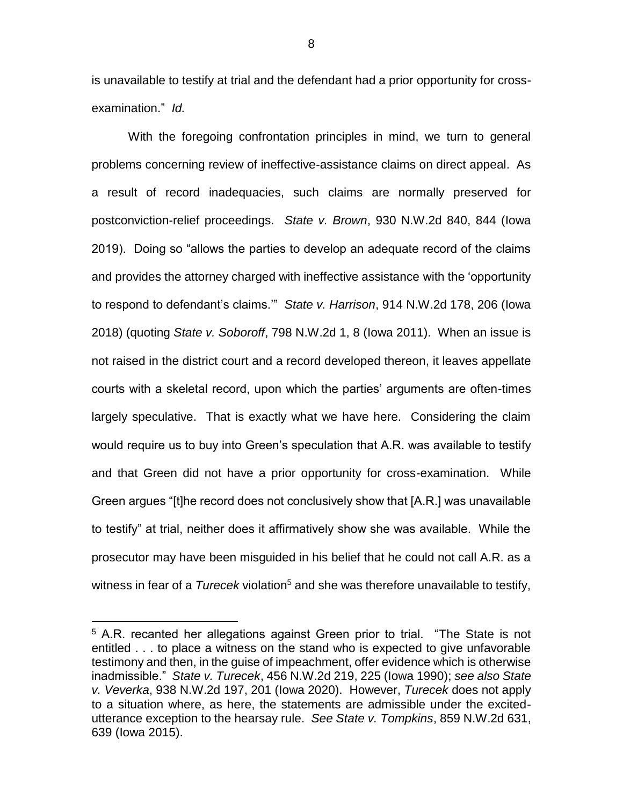is unavailable to testify at trial and the defendant had a prior opportunity for crossexamination." *Id.*

With the foregoing confrontation principles in mind, we turn to general problems concerning review of ineffective-assistance claims on direct appeal. As a result of record inadequacies, such claims are normally preserved for postconviction-relief proceedings. *State v. Brown*, 930 N.W.2d 840, 844 (Iowa 2019). Doing so "allows the parties to develop an adequate record of the claims and provides the attorney charged with ineffective assistance with the 'opportunity to respond to defendant's claims.'" *State v. Harrison*, 914 N.W.2d 178, 206 (Iowa 2018) (quoting *State v. Soboroff*, 798 N.W.2d 1, 8 (Iowa 2011). When an issue is not raised in the district court and a record developed thereon, it leaves appellate courts with a skeletal record, upon which the parties' arguments are often-times largely speculative. That is exactly what we have here. Considering the claim would require us to buy into Green's speculation that A.R. was available to testify and that Green did not have a prior opportunity for cross-examination. While Green argues "[t]he record does not conclusively show that [A.R.] was unavailable to testify" at trial, neither does it affirmatively show she was available. While the prosecutor may have been misguided in his belief that he could not call A.R. as a witness in fear of a *Turecek* violation<sup>5</sup> and she was therefore unavailable to testify,

 $\overline{a}$ 

<sup>&</sup>lt;sup>5</sup> A.R. recanted her allegations against Green prior to trial. "The State is not entitled . . . to place a witness on the stand who is expected to give unfavorable testimony and then, in the guise of impeachment, offer evidence which is otherwise inadmissible." *State v. Turecek*, 456 N.W.2d 219, 225 (Iowa 1990); *see also State v. Veverka*, 938 N.W.2d 197, 201 (Iowa 2020). However, *Turecek* does not apply to a situation where, as here, the statements are admissible under the excitedutterance exception to the hearsay rule. *See State v. Tompkins*, 859 N.W.2d 631, 639 (Iowa 2015).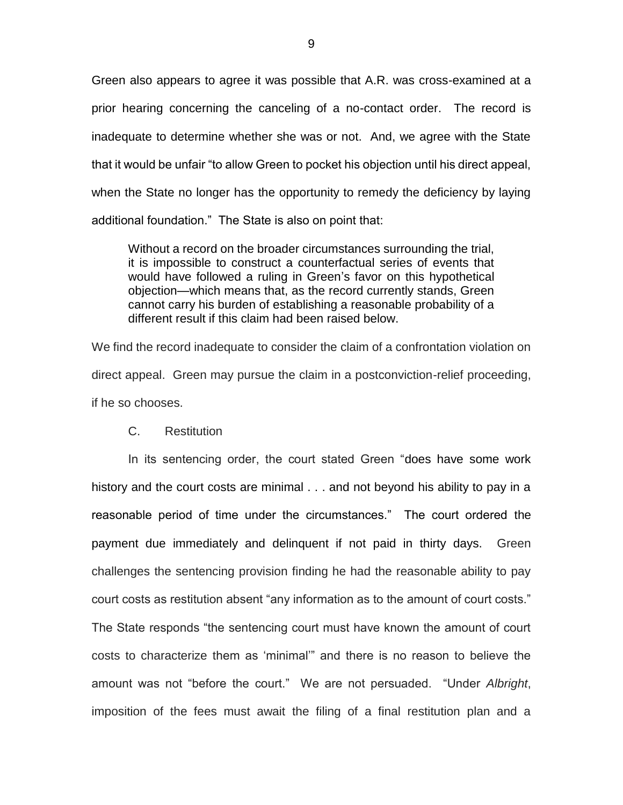Green also appears to agree it was possible that A.R. was cross-examined at a prior hearing concerning the canceling of a no-contact order. The record is inadequate to determine whether she was or not. And, we agree with the State that it would be unfair "to allow Green to pocket his objection until his direct appeal, when the State no longer has the opportunity to remedy the deficiency by laying additional foundation." The State is also on point that:

Without a record on the broader circumstances surrounding the trial, it is impossible to construct a counterfactual series of events that would have followed a ruling in Green's favor on this hypothetical objection—which means that, as the record currently stands, Green cannot carry his burden of establishing a reasonable probability of a different result if this claim had been raised below.

We find the record inadequate to consider the claim of a confrontation violation on direct appeal. Green may pursue the claim in a postconviction-relief proceeding, if he so chooses.

C. Restitution

In its sentencing order, the court stated Green "does have some work history and the court costs are minimal . . . and not beyond his ability to pay in a reasonable period of time under the circumstances." The court ordered the payment due immediately and delinquent if not paid in thirty days. Green challenges the sentencing provision finding he had the reasonable ability to pay court costs as restitution absent "any information as to the amount of court costs." The State responds "the sentencing court must have known the amount of court costs to characterize them as 'minimal'" and there is no reason to believe the amount was not "before the court." We are not persuaded. "Under *Albright*, imposition of the fees must await the filing of a final restitution plan and a